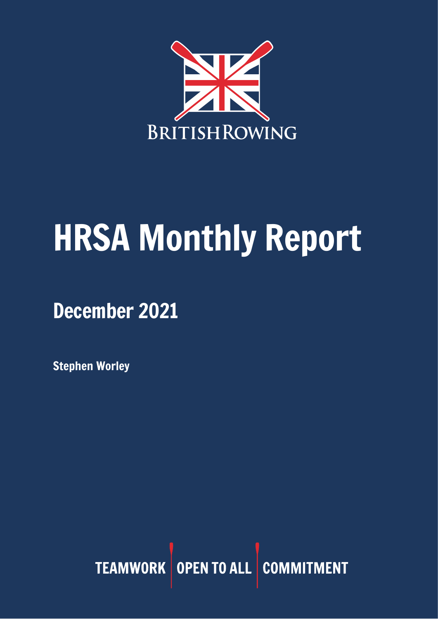

# HRSA Monthly Report

December 2021

Stephen Worley

TEAMWORK OPEN TO ALL COMMITMENT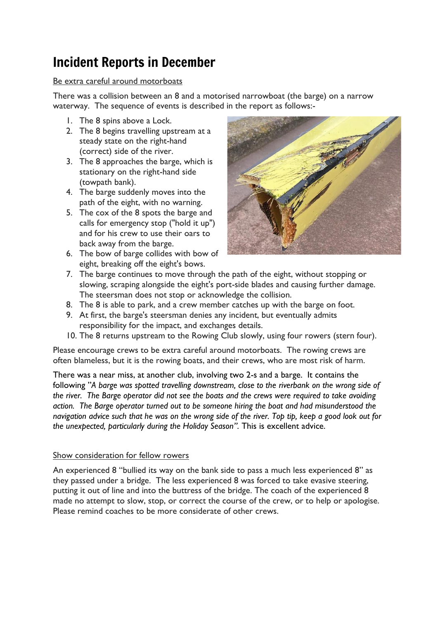## Incident Reports in December

#### Be extra careful around motorboats

There was a collision between an 8 and a motorised narrowboat (the barge) on a narrow waterway. The sequence of events is described in the report as follows:-

- 1. The 8 spins above a Lock.
- 2. The 8 begins travelling upstream at a steady state on the right-hand (correct) side of the river.
- 3. The 8 approaches the barge, which is stationary on the right-hand side (towpath bank).
- 4. The barge suddenly moves into the path of the eight, with no warning.
- 5. The cox of the 8 spots the barge and calls for emergency stop ("hold it up") and for his crew to use their oars to back away from the barge.
- 6. The bow of barge collides with bow of eight, breaking off the eight's bows.



- 7. The barge continues to move through the path of the eight, without stopping or slowing, scraping alongside the eight's port-side blades and causing further damage. The steersman does not stop or acknowledge the collision.
- 8. The 8 is able to park, and a crew member catches up with the barge on foot.
- 9. At first, the barge's steersman denies any incident, but eventually admits responsibility for the impact, and exchanges details.
- 10. The 8 returns upstream to the Rowing Club slowly, using four rowers (stern four).

Please encourage crews to be extra careful around motorboats. The rowing crews are often blameless, but it is the rowing boats, and their crews, who are most risk of harm.

There was a near miss, at another club, involving two 2-s and a barge. It contains the following "*A barge was spotted travelling downstream, close to the riverbank on the wrong side of the river. The Barge operator did not see the boats and the crews were required to take avoiding action. The Barge operator turned out to be someone hiring the boat and had misunderstood the navigation advice such that he was on the wrong side of the river. Top tip, keep a good look out for the unexpected, particularly during the Holiday Season".* This is excellent advice.

#### Show consideration for fellow rowers

An experienced 8 "bullied its way on the bank side to pass a much less experienced 8" as they passed under a bridge. The less experienced 8 was forced to take evasive steering, putting it out of line and into the buttress of the bridge. The coach of the experienced 8 made no attempt to slow, stop, or correct the course of the crew, or to help or apologise. Please remind coaches to be more considerate of other crews.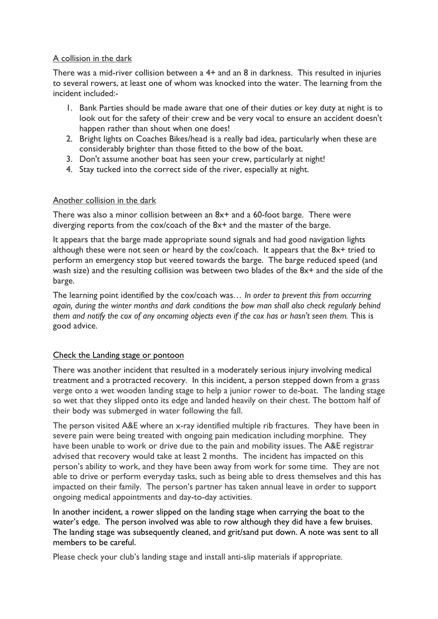#### A collision in the dark

There was a mid-river collision between a 4+ and an 8 in darkness. This resulted in injuries to several rowers, at least one of whom was knocked into the water. The learning from the incident included:-

- 1. Bank Parties should be made aware that one of their duties or key duty at night is to look out for the safety of their crew and be very vocal to ensure an accident doesn't happen rather than shout when one does!
- 2. Bright lights on Coaches Bikes/head is a really bad idea, particularly when these are considerably brighter than those fitted to the bow of the boat.
- 3. Don't assume another boat has seen your crew, particularly at night!
- 4. Stay tucked into the correct side of the river, especially at night.

#### Another collision in the dark

There was also a minor collision between an 8x<sup>+</sup> and a 60-foot barge. There were diverging reports from the cox/coach of the 8x+ and the master of the barge.

It appears that the barge made appropriate sound signals and had good navigation lights although these were not seen or heard by the cox/coach. It appears that the 8x+ tried to perform an emergency stop but veered towards the barge. The barge reduced speed (and wash size) and the resulting collision was between two blades of the 8x+ and the side of the barge.

The learning point identified by the cox/coach was*… In order to prevent this from occurring again, during the winter months and dark conditions the bow man shall also check regularly behind them and notify the cox of any oncoming objects even if the cox has or hasn't seen them.* This is good advice.

#### Check the Landing stage or pontoon

There was another incident that resulted in a moderately serious injury involving medical treatment and a protracted recovery. In this incident, a person stepped down from a grass verge onto a wet wooden landing stage to help a junior rower to de-boat. The landing stage so wet that they slipped onto its edge and landed heavily on their chest. The bottom half of their body was submerged in water following the fall.

The person visited A&E where an x-ray identified multiple rib fractures. They have been in severe pain were being treated with ongoing pain medication including morphine. They have been unable to work or drive due to the pain and mobility issues. The A&E registrar advised that recovery would take at least 2 months. The incident has impacted on this person's ability to work, and they have been away from work for some time. They are not able to drive or perform everyday tasks, such as being able to dress themselves and this has impacted on their family. The person's partner has taken annual leave in order to support ongoing medical appointments and day-to-day activities.

In another incident, a rower slipped on the landing stage when carrying the boat to the water's edge. The person involved was able to row although they did have a few bruises. The landing stage was subsequently cleaned, and grit/sand put down. A note was sent to all members to be careful.

Please check your club's landing stage and install anti-slip materials if appropriate.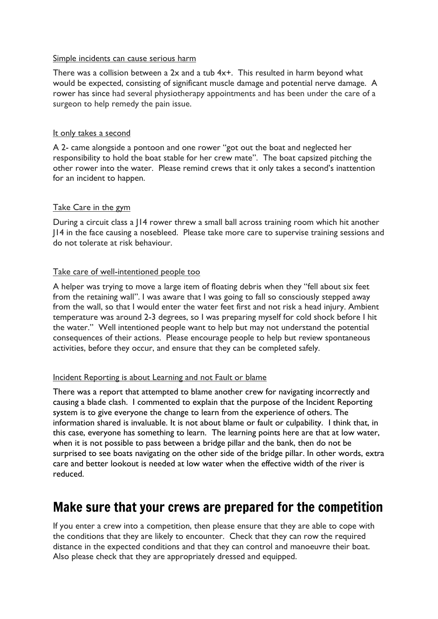#### Simple incidents can cause serious harm

There was a collision between a 2x and a tub 4x+. This resulted in harm beyond what would be expected, consisting of significant muscle damage and potential nerve damage. A rower has since had several physiotherapy appointments and has been under the care of a surgeon to help remedy the pain issue.

#### It only takes a second

A 2- came alongside a pontoon and one rower "got out the boat and neglected her responsibility to hold the boat stable for her crew mate". The boat capsized pitching the other rower into the water. Please remind crews that it only takes a second's inattention for an incident to happen.

#### Take Care in the gym

During a circuit class a J14 rower threw a small ball across training room which hit another J14 in the face causing a nosebleed. Please take more care to supervise training sessions and do not tolerate at risk behaviour.

#### Take care of well-intentioned people too

A helper was trying to move a large item of floating debris when they "fell about six feet from the retaining wall". I was aware that I was going to fall so consciously stepped away from the wall, so that I would enter the water feet first and not risk a head injury. Ambient temperature was around 2-3 degrees, so I was preparing myself for cold shock before I hit the water." Well intentioned people want to help but may not understand the potential consequences of their actions. Please encourage people to help but review spontaneous activities, before they occur, and ensure that they can be completed safely.

#### Incident Reporting is about Learning and not Fault or blame

There was a report that attempted to blame another crew for navigating incorrectly and causing a blade clash. I commented to explain that the purpose of the Incident Reporting system is to give everyone the change to learn from the experience of others. The information shared is invaluable. It is not about blame or fault or culpability. I think that, in this case, everyone has something to learn. The learning points here are that at low water, when it is not possible to pass between a bridge pillar and the bank, then do not be surprised to see boats navigating on the other side of the bridge pillar. In other words, extra care and better lookout is needed at low water when the effective width of the river is reduced.

#### Make sure that your crews are prepared for the competition

If you enter a crew into a competition, then please ensure that they are able to cope with the conditions that they are likely to encounter. Check that they can row the required distance in the expected conditions and that they can control and manoeuvre their boat. Also please check that they are appropriately dressed and equipped.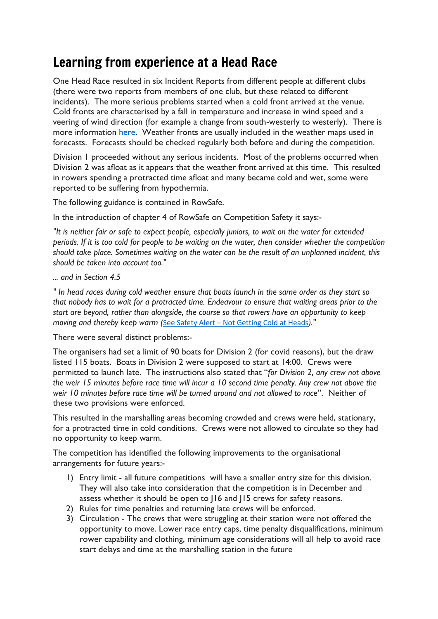## Learning from experience at a Head Race

One Head Race resulted in six Incident Reports from different people at different clubs (there were two reports from members of one club, but these related to different incidents). The more serious problems started when a cold front arrived at the venue. Cold fronts are characterised by a fall in temperature and increase in wind speed and a veering of wind direction (for example a change from south-westerly to westerly). There is more information [here.](https://scied.ucar.edu/learning-zone/how-weather-works/weather-fronts) Weather fronts are usually included in the weather maps used in forecasts. Forecasts should be checked regularly both before and during the competition.

Division 1 proceeded without any serious incidents. Most of the problems occurred when Division 2 was afloat as it appears that the weather front arrived at this time. This resulted in rowers spending a protracted time afloat and many became cold and wet, some were reported to be suffering from hypothermia.

The following guidance is contained in RowSafe.

In the introduction of chapter 4 of RowSafe on Competition Safety it says:-

*"It is neither fair or safe to expect people, especially juniors, to wait on the water for extended periods. If it is too cold for people to be waiting on the water, then consider whether the competition should take place. Sometimes waiting on the water can be the result of an unplanned incident, this should be taken into account too."*

*... and in Section 4.5*

*" In head races during cold weather ensure that boats launch in the same order as they start so that nobody has to wait for a protracted time. Endeavour to ensure that waiting areas prior to the start are beyond, rather than alongside, the course so that rowers have an opportunity to keep moving and thereby keep warm (*See Safety Alert – Not Getting Cold at Heads*)."*

There were several distinct problems:-

The organisers had set a limit of 90 boats for Division 2 (for covid reasons), but the draw listed 115 boats. Boats in Division 2 were supposed to start at 14:00. Crews were permitted to launch late. The instructions also stated that "*for Division 2, any crew not above the weir 15 minutes before race time will incur a 10 second time penalty. Any crew not above the weir 10 minutes before race time will be turned around and not allowed to race*". Neither of these two provisions were enforced.

This resulted in the marshalling areas becoming crowded and crews were held, stationary, for a protracted time in cold conditions. Crews were not allowed to circulate so they had no opportunity to keep warm.

The competition has identified the following improvements to the organisational arrangements for future years:-

- 1) Entry limit all future competitions will have a smaller entry size for this division. They will also take into consideration that the competition is in December and assess whether it should be open to J16 and J15 crews for safety reasons.
- 2) Rules for time penalties and returning late crews will be enforced.
- 3) Circulation The crews that were struggling at their station were not offered the opportunity to move. Lower race entry caps, time penalty disqualifications, minimum rower capability and clothing, minimum age considerations will all help to avoid race start delays and time at the marshalling station in the future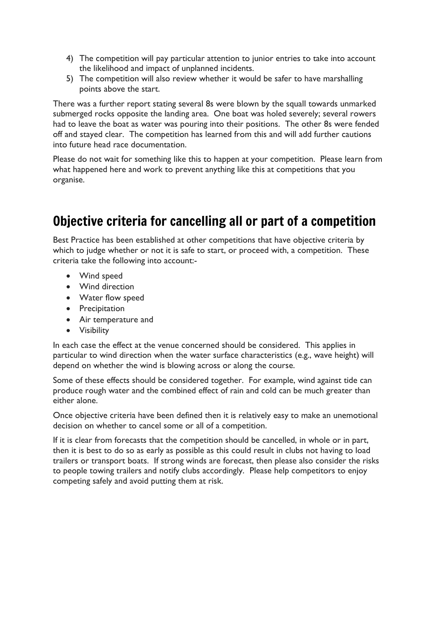- 4) The competition will pay particular attention to junior entries to take into account the likelihood and impact of unplanned incidents.
- 5) The competition will also review whether it would be safer to have marshalling points above the start.

There was a further report stating several 8s were blown by the squall towards unmarked submerged rocks opposite the landing area. One boat was holed severely; several rowers had to leave the boat as water was pouring into their positions. The other 8s were fended off and stayed clear. The competition has learned from this and will add further cautions into future head race documentation.

Please do not wait for something like this to happen at your competition. Please learn from what happened here and work to prevent anything like this at competitions that you organise.

## Objective criteria for cancelling all or part of a competition

Best Practice has been established at other competitions that have objective criteria by which to judge whether or not it is safe to start, or proceed with, a competition. These criteria take the following into account:-

- Wind speed
- Wind direction
- Water flow speed
- Precipitation
- Air temperature and
- Visibility

In each case the effect at the venue concerned should be considered. This applies in particular to wind direction when the water surface characteristics (e.g., wave height) will depend on whether the wind is blowing across or along the course.

Some of these effects should be considered together. For example, wind against tide can produce rough water and the combined effect of rain and cold can be much greater than either alone.

Once objective criteria have been defined then it is relatively easy to make an unemotional decision on whether to cancel some or all of a competition.

If it is clear from forecasts that the competition should be cancelled, in whole or in part, then it is best to do so as early as possible as this could result in clubs not having to load trailers or transport boats. If strong winds are forecast, then please also consider the risks to people towing trailers and notify clubs accordingly. Please help competitors to enjoy competing safely and avoid putting them at risk.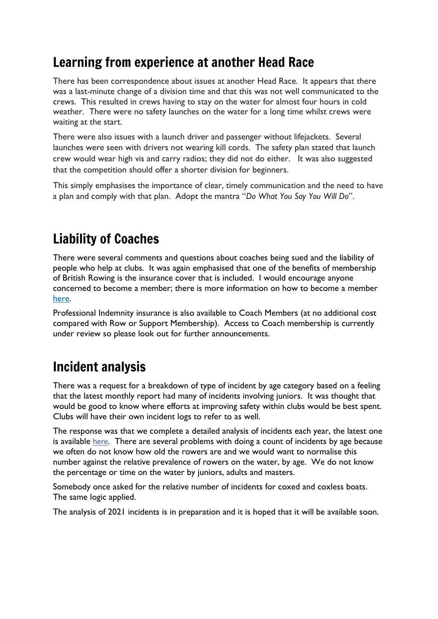## Learning from experience at another Head Race

There has been correspondence about issues at another Head Race. It appears that there was a last-minute change of a division time and that this was not well communicated to the crews. This resulted in crews having to stay on the water for almost four hours in cold weather. There were no safety launches on the water for a long time whilst crews were waiting at the start.

There were also issues with a launch driver and passenger without lifejackets. Several launches were seen with drivers not wearing kill cords. The safety plan stated that launch crew would wear high vis and carry radios; they did not do either. It was also suggested that the competition should offer a shorter division for beginners.

This simply emphasises the importance of clear, timely communication and the need to have a plan and comply with that plan. Adopt the mantra "*Do What You Say You Will Do*".

# Liability of Coaches

There were several comments and questions about coaches being sued and the liability of people who help at clubs. It was again emphasised that one of the benefits of membership of British Rowing is the insurance cover that is included. I would encourage anyone concerned to become a member; there is more information on how to become a member [here.](https://www.britishrowing.org/join/)

Professional Indemnity insurance is also available to Coach Members (at no additional cost compared with Row or Support Membership). Access to Coach membership is currently under review so please look out for further announcements.

## Incident analysis

There was a request for a breakdown of type of incident by age category based on a feeling that the latest monthly report had many of incidents involving juniors. It was thought that would be good to know where efforts at improving safety within clubs would be best spent. Clubs will have their own incident logs to refer to as well.

The response was that we complete a detailed analysis of incidents each year, the latest one is available [here](https://www.britishrowing.org/wp-content/uploads/2021/01/2020-Incident-Analysis.pdf). There are several problems with doing a count of incidents by age because we often do not know how old the rowers are and we would want to normalise this number against the relative prevalence of rowers on the water, by age. We do not know the percentage or time on the water by juniors, adults and masters.

Somebody once asked for the relative number of incidents for coxed and coxless boats. The same logic applied.

The analysis of 2021 incidents is in preparation and it is hoped that it will be available soon.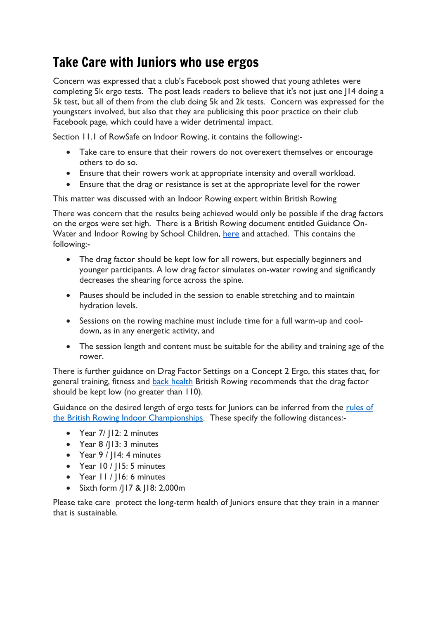#### Take Care with Juniors who use ergos

Concern was expressed that a club's Facebook post showed that young athletes were completing 5k ergo tests. The post leads readers to believe that it's not just one J14 doing a 5k test, but all of them from the club doing 5k and 2k tests. Concern was expressed for the youngsters involved, but also that they are publicising this poor practice on their club Facebook page, which could have a wider detrimental impact.

Section 11.1 of RowSafe on Indoor Rowing, it contains the following:-

- Take care to ensure that their rowers do not overexert themselves or encourage others to do so.
- Ensure that their rowers work at appropriate intensity and overall workload.
- Ensure that the drag or resistance is set at the appropriate level for the rower

This matter was discussed with an Indoor Rowing expert within British Rowing

There was concern that the results being achieved would only be possible if the drag factors on the ergos were set high. There is a British Rowing document entitled Guidance OnWater and Indoor Rowing by School Children, [here](https://www.britishrowing.org/wp-content/uploads/2016/01/BR-Guidance-Document-On-Water-and-Indoor-Rowing-by-School-Children-Final-2016.pdf) and attached. This contains the following:-

- The drag factor should be kept low for all rowers, but especially beginners and younger participants. A low drag factor simulates on-water rowing and significantly decreases the shearing force across the spine.
- Pauses should be included in the session to enable stretching and to maintain hydration levels.
- Sessions on the rowing machine must include time for a full warm-up and cooldown, as in any energetic activity, and
- The session length and content must be suitable for the ability and training age of the rower.

There is further guidance on Drag Factor Settings on a Concept 2 Ergo, this states that, for general training, fitness and [back health](https://www.britishrowing.org/knowledge/safety/health-and-fitness/rowing-and-backs/) British Rowing recommends that the drag factor should be kept low (no greater than 110).

Guidance on the desired length of ergo tests for Juniors can be inferred from the [rules of](https://www.britishrowing.org/wp-content/uploads/2021/10/MIZUNO-BRIC-2021-TCs-FINAL.pdf)  [the British Rowing Indoor](https://www.britishrowing.org/wp-content/uploads/2021/10/MIZUNO-BRIC-2021-TCs-FINAL.pdf) Championships. These specify the following distances:-

- Year 7/ | 12: 2 minutes
- Year 8 /J13: 3 minutes
- Year 9 / J14: 4 minutes
- Year 10 / J15: 5 minutes
- Year 11 / J16: 6 minutes
- Sixth form /J17 & J18: 2,000m

Please take care protect the long-term health of Juniors ensure that they train in a manner that is sustainable.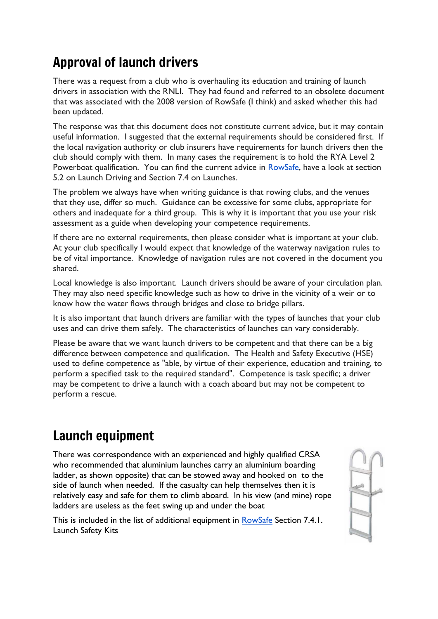## Approval of launch drivers

There was a request from a club who is overhauling its education and training of launch drivers in association with the RNLI. They had found and referred to an obsolete document that was associated with the 2008 version of RowSafe (I think) and asked whether this had been updated.

The response was that this document does not constitute current advice, but it may contain useful information. I suggested that the external requirements should be considered first. If the local navigation authority or club insurers have requirements for launch drivers then the club should comply with them. In many cases the requirement is to hold the RYA Level 2 Powerboat qualification. You can find the current advice in [RowSafe,](https://www.britishrowing.org/about-us/policies-guidance/rowsafe/) have a look at section 5.2 on Launch Driving and Section 7.4 on Launches.

The problem we always have when writing guidance is that rowing clubs, and the venues that they use, differ so much. Guidance can be excessive for some clubs, appropriate for others and inadequate for a third group. This is why it is important that you use your risk assessment as a guide when developing your competence requirements.

If there are no external requirements, then please consider what is important at your club. At your club specifically I would expect that knowledge of the waterway navigation rules to be of vital importance. Knowledge of navigation rules are not covered in the document you shared.

Local knowledge is also important. Launch drivers should be aware of your circulation plan. They may also need specific knowledge such as how to drive in the vicinity of a weir or to know how the water flows through bridges and close to bridge pillars.

It is also important that launch drivers are familiar with the types of launches that your club uses and can drive them safely. The characteristics of launches can vary considerably.

Please be aware that we want launch drivers to be competent and that there can be a big difference between competence and qualification. The Health and Safety Executive (HSE) used to define competence as "able, by virtue of their experience, education and training, to perform a specified task to the required standard". Competence is task specific; a driver may be competent to drive a launch with a coach aboard but may not be competent to perform a rescue.

## Launch equipment

There was correspondence with an experienced and highly qualified CRSA who recommended that aluminium launches carry an aluminium boarding ladder, as shown opposite) that can be stowed away and hooked on to the side of launch when needed. If the casualty can help themselves then it is relatively easy and safe for them to climb aboard. In his view (and mine) rope ladders are useless as the feet swing up and under the boat

This is included in the list of additional equipment in [RowSafe](https://www.britishrowing.org/about-us/policies-guidance/rowsafe/) Section 7.4.1. Launch Safety Kits

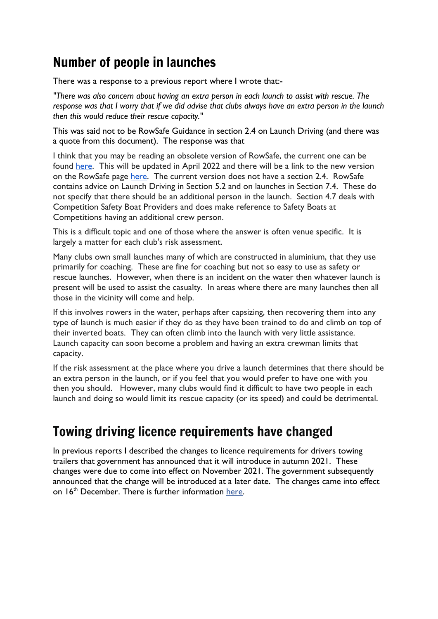## Number of people in launches

There was a response to a previous report where I wrote that:-

*"There was also concern about having an extra person in each launch to assist with rescue. The response was that I worry that if we did advise that clubs always have an extra person in the launch then this would reduce their rescue capacity."*

This was said not to be RowSafe Guidance in section 2.4 on Launch Driving (and there was a quote from this document). The response was that

I think that you may be reading an obsolete version of RowSafe, the current one can be found [here.](https://www.britishrowing.org/wp-content/uploads/2021/04/2021-RowSafe.pdf) This will be updated in April 2022 and there will be a link to the new version on the RowSafe page [here.](https://www.britishrowing.org/about-us/policies-guidance/rowsafe/) The current version does not have a section 2.4. RowSafe contains advice on Launch Driving in Section 5.2 and on launches in Section 7.4. These do not specify that there should be an additional person in the launch. Section 4.7 deals with Competition Safety Boat Providers and does make reference to Safety Boats at Competitions having an additional crew person.

This is a difficult topic and one of those where the answer is often venue specific. It is largely a matter for each club's risk assessment.

Many clubs own small launches many of which are constructed in aluminium, that they use primarily for coaching. These are fine for coaching but not so easy to use as safety or rescue launches. However, when there is an incident on the water then whatever launch is present will be used to assist the casualty. In areas where there are many launches then all those in the vicinity will come and help.

If this involves rowers in the water, perhaps after capsizing, then recovering them into any type of launch is much easier if they do as they have been trained to do and climb on top of their inverted boats. They can often climb into the launch with very little assistance. Launch capacity can soon become a problem and having an extra crewman limits that capacity.

If the risk assessment at the place where you drive a launch determines that there should be an extra person in the launch, or if you feel that you would prefer to have one with you then you should. However, many clubs would find it difficult to have two people in each launch and doing so would limit its rescue capacity (or its speed) and could be detrimental.

### Towing driving licence requirements have changed

In previous reports I described the changes to licence requirements for drivers towing trailers that government has announced that it will introduce in autumn 2021. These changes were due to come into effect on November 2021. The government subsequently announced that the change will be introduced at a later date. The changes came into effect on  $16<sup>th</sup>$  December. There is further information [here.](https://www.gov.uk/guidance/new-rules-for-towing-a-trailer-or-caravan-with-a-car-from-autumn-2021)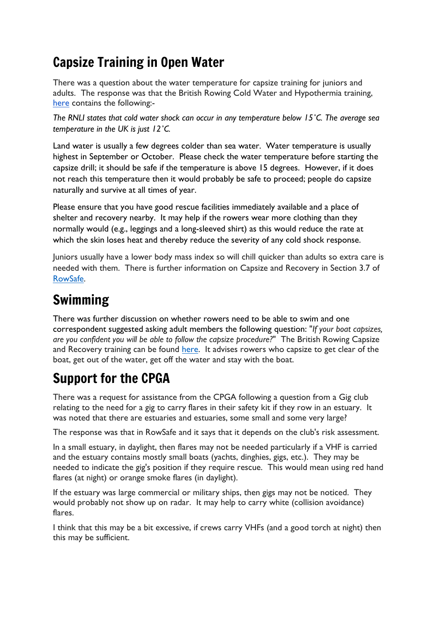## Capsize Training in Open Water

There was a question about the water temperature for capsize training for juniors and adults. The response was that the British Rowing Cold Water and Hypothermia training, [here](https://www.rowhow.org/course/view.php?id=165) contains the following:-

*The RNLI states that cold water shock can occur in any temperature below 15˚C. The average sea temperature in the UK is just 12˚C.*

Land water is usually a few degrees colder than sea water. Water temperature is usually highest in September or October. Please check the water temperature before starting the capsize drill; it should be safe if the temperature is above 15 degrees. However, if it does not reach this temperature then it would probably be safe to proceed; people do capsize naturally and survive at all times of year.

Please ensure that you have good rescue facilities immediately available and a place of shelter and recovery nearby. It may help if the rowers wear more clothing than they normally would (e.g., leggings and a long-sleeved shirt) as this would reduce the rate at which the skin loses heat and thereby reduce the severity of any cold shock response.

Juniors usually have a lower body mass index so will chill quicker than adults so extra care is needed with them. There is further information on Capsize and Recovery in Section 3.7 of [RowSafe.](https://www.britishrowing.org/about-us/policies-guidance/rowsafe/)

## Swimming

There was further discussion on whether rowers need to be able to swim and one correspondent suggested asking adult members the following question: "*If your boat capsizes, are you confident you will be able to follow the capsize procedure?*" The British Rowing Capsize and Recovery training can be found [here.](https://www.rowhow.org/course/view.php?id=195) It advises rowers who capsize to get clear of the boat, get out of the water, get off the water and stay with the boat.

# Support for the CPGA

There was a request for assistance from the CPGA following a question from a Gig club relating to the need for a gig to carry flares in their safety kit if they row in an estuary. It was noted that there are estuaries and estuaries, some small and some very large?

The response was that in RowSafe and it says that it depends on the club's risk assessment.

In a small estuary, in daylight, then flares may not be needed particularly if a VHF is carried and the estuary contains mostly small boats (yachts, dinghies, gigs, etc.). They may be needed to indicate the gig's position if they require rescue. This would mean using red hand flares (at night) or orange smoke flares (in daylight).

If the estuary was large commercial or military ships, then gigs may not be noticed. They would probably not show up on radar. It may help to carry white (collision avoidance) flares.

I think that this may be a bit excessive, if crews carry VHFs (and a good torch at night) then this may be sufficient.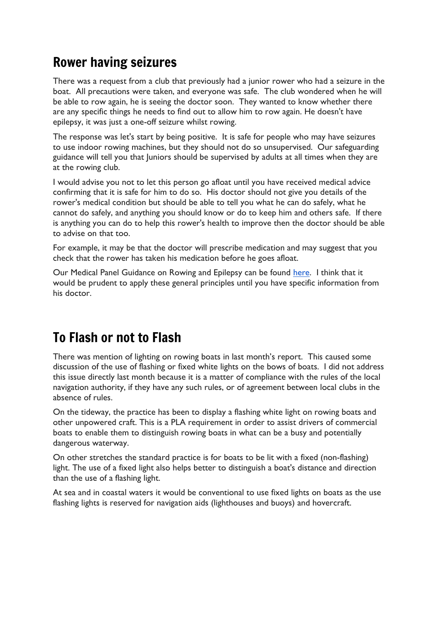### Rower having seizures

There was a request from a club that previously had a junior rower who had a seizure in the boat. All precautions were taken, and everyone was safe. The club wondered when he will be able to row again, he is seeing the doctor soon. They wanted to know whether there are any specific things he needs to find out to allow him to row again. He doesn't have epilepsy, it was just a one-off seizure whilst rowing.

The response was let's start by being positive. It is safe for people who may have seizures to use indoor rowing machines, but they should not do so unsupervised. Our safeguarding guidance will tell you that Juniors should be supervised by adults at all times when they are at the rowing club.

I would advise you not to let this person go afloat until you have received medical advice confirming that it is safe for him to do so. His doctor should not give you details of the rower's medical condition but should be able to tell you what he can do safely, what he cannot do safely, and anything you should know or do to keep him and others safe. If there is anything you can do to help this rower's health to improve then the doctor should be able to advise on that too.

For example, it may be that the doctor will prescribe medication and may suggest that you check that the rower has taken his medication before he goes afloat.

Our Medical Panel Guidance on Rowing and Epilepsy can be found [here.](https://www.britishrowing.org/knowledge/safety/health-and-fitness/rowing-and-epilepsy/) I think that it would be prudent to apply these general principles until you have specific information from his doctor.

## To Flash or not to Flash

There was mention of lighting on rowing boats in last month's report. This caused some discussion of the use of flashing or fixed white lights on the bows of boats. I did not address this issue directly last month because it is a matter of compliance with the rules of the local navigation authority, if they have any such rules, or of agreement between local clubs in the absence of rules.

On the tideway, the practice has been to display a flashing white light on rowing boats and other unpowered craft. This is a PLA requirement in order to assist drivers of commercial boats to enable them to distinguish rowing boats in what can be a busy and potentially dangerous waterway.

On other stretches the standard practice is for boats to be lit with a fixed (non-flashing) light. The use of a fixed light also helps better to distinguish a boat's distance and direction than the use of a flashing light.

At sea and in coastal waters it would be conventional to use fixed lights on boats as the use flashing lights is reserved for navigation aids (lighthouses and buoys) and hovercraft.